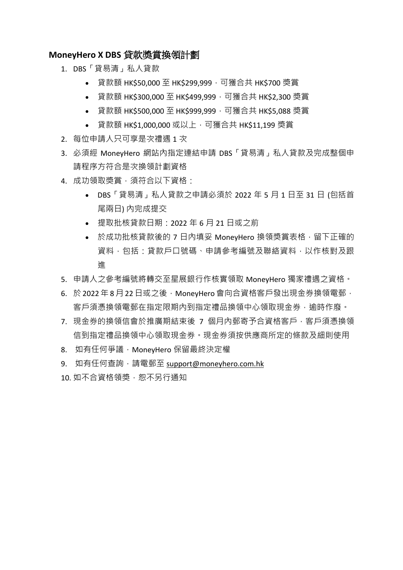## **MoneyHero X DBS** 貸款獎賞換領計劃

- 1. DBS「貸易清」私人貸款
	- 貸款額 HK\$50,000 至 HK\$299,999,可獲合共 HK\$700 獎賞
	- 貸款額 HK\$300,000 至 HK\$499,999,可獲合共 HK\$2,300 獎賞
	- 貸款額 HK\$500,000 至 HK\$999,999,可獲合共 HK\$5,088 獎賞
	- 貸款額 HK\$1,000,000 或以上,可獲合共 HK\$11,199 獎賞
- 2. 每位申請人只可享是次禮遇 1 次
- 3. 必須經 MoneyHero 網站內指定連結申請 DBS「貸易清」私人貸款及完成整個申 請程序方符合是次換領計劃資格
- 4. 成功領取獎賞,須符合以下資格:
	- DBS「貸易清」私人貸款之申請必須於 2022 年 5 月 1 日至 31 日 (包括首 尾兩日) 內完成提交
	- 提取批核貸款日期:2022 年 6 月 21 日或之前
	- 於成功批核貸款後的 7 日內填妥 MonevHero 換領獎賞表格, 留下正確的 資料,包括:貸款戶口號碼、申請參考編號及聯絡資料,以作核對及跟 進
- 5. 申請人之參考編號將轉交至星展銀行作核實領取 MoneyHero 獨家禮遇之資格。
- 6. 於2022年8月22日或之後,MonevHero 會向合資格客戶發出現金券換領電郵, 客戶須憑換領電郵在指定限期內到指定禮品換領中心領取現金券,逾時作廢。
- 7. 現金券的換領信會於推廣期結束後 7 個月內郵寄予合資格客戶,客戶須憑換領 信到指定禮品換領中心領取現金券。現金券須按供應商所定的條款及細則使用
- 8. 如有任何爭議, MoneyHero 保留最終決定權
- 9. 如有任何查詢,請電郵至 [support@moneyhero.com.hk](mailto:support@moneyhero.com.hk)
- 10. 如不合資格領獎, 恕不另行通知